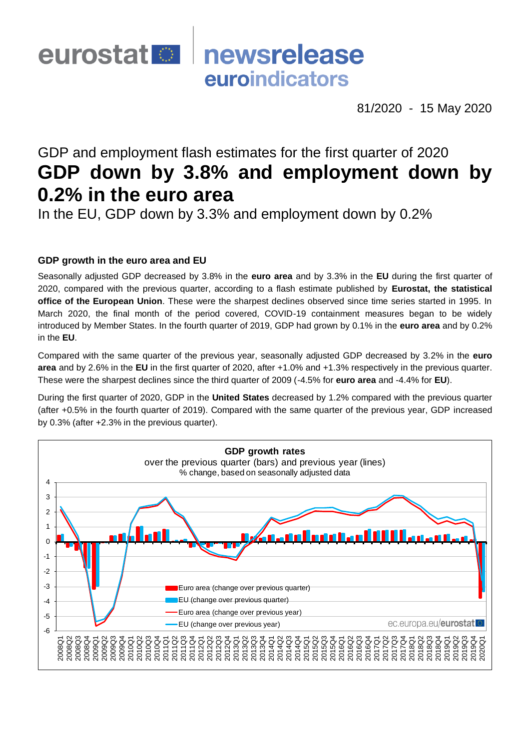## eurostat <sup>®</sup> newsrelease euroindicators

81/2020 - 15 May 2020

# GDP and employment flash estimates for the first quarter of 2020 **GDP down by 3.8% and employment down by 0.2% in the euro area**

In the EU, GDP down by 3.3% and employment down by 0.2%

## **GDP growth in the euro area and EU**

Seasonally adjusted GDP decreased by 3.8% in the **euro area** and by 3.3% in the **EU** during the first quarter of 2020, compared with the previous quarter, according to a flash estimate published by **Eurostat, the statistical office of the European Union**. These were the sharpest declines observed since time series started in 1995. In March 2020, the final month of the period covered, COVID-19 containment measures began to be widely introduced by Member States. In the fourth quarter of 2019, GDP had grown by 0.1% in the **euro area** and by 0.2% in the **EU**.

Compared with the same quarter of the previous year, seasonally adjusted GDP decreased by 3.2% in the **euro area** and by 2.6% in the **EU** in the first quarter of 2020, after +1.0% and +1.3% respectively in the previous quarter. These were the sharpest declines since the third quarter of 2009 (-4.5% for **euro area** and -4.4% for **EU**).

During the first quarter of 2020, GDP in the **United States** decreased by 1.2% compared with the previous quarter (after +0.5% in the fourth quarter of 2019). Compared with the same quarter of the previous year, GDP increased by 0.3% (after +2.3% in the previous quarter).

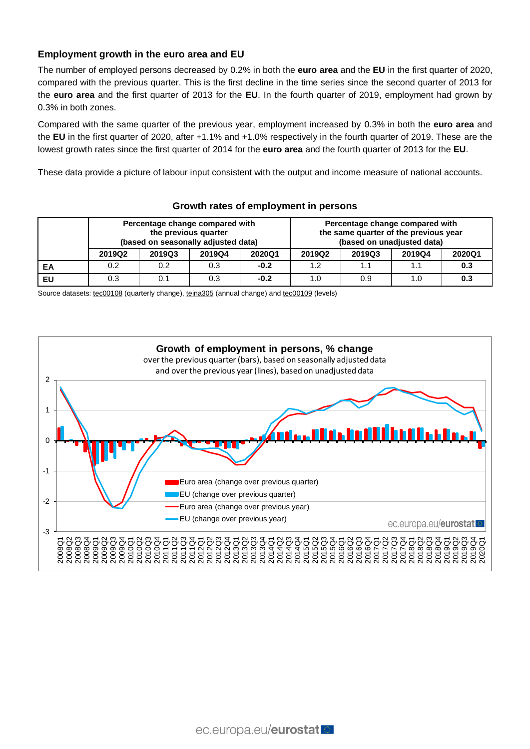## **Employment growth in the euro area and EU**

The number of employed persons decreased by 0.2% in both the **euro area** and the **EU** in the first quarter of 2020, compared with the previous quarter. This is the first decline in the time series since the second quarter of 2013 for the **euro area** and the first quarter of 2013 for the **EU**. In the fourth quarter of 2019, employment had grown by 0.3% in both zones.

Compared with the same quarter of the previous year, employment increased by 0.3% in both the **euro area** and the **EU** in the first quarter of 2020, after +1.1% and +1.0% respectively in the fourth quarter of 2019. These are the lowest growth rates since the first quarter of 2014 for the **euro area** and the fourth quarter of 2013 for the **EU**.

These data provide a picture of labour input consistent with the output and income measure of national accounts.

|    | Percentage change compared with<br>the previous quarter<br>(based on seasonally adjusted data) |        |        |        | Percentage change compared with<br>the same quarter of the previous year<br>(based on unadjusted data) |        |        |        |
|----|------------------------------------------------------------------------------------------------|--------|--------|--------|--------------------------------------------------------------------------------------------------------|--------|--------|--------|
|    | 2019Q2                                                                                         | 2019Q3 | 2019Q4 | 2020Q1 | 2019Q2                                                                                                 | 2019Q3 | 2019Q4 | 2020Q1 |
| ЕA | 0.2                                                                                            | 0.2    | 0.3    | $-0.2$ | 1.2                                                                                                    | 1.1    | 1.1    | 0.3    |
| EU | 0.3                                                                                            | 0.1    | 0.3    | $-0.2$ | 1.0                                                                                                    | 0.9    | 1.0    | 0.3    |

## **Growth rates of employment in persons**

Source datasets: [tec00108](https://ec.europa.eu/eurostat/tgm/table.do?tab=table&init=1&plugin=1&pcode=tec00108&language=en) (quarterly change), [teina305](https://ec.europa.eu/eurostat/tgm/table.do?tab=table&init=1&plugin=1&pcode=teina305&language=en) (annual change) and [tec00109](https://ec.europa.eu/eurostat/tgm/table.do?tab=table&init=1&plugin=1&pcode=tec00109&language=en) (levels)

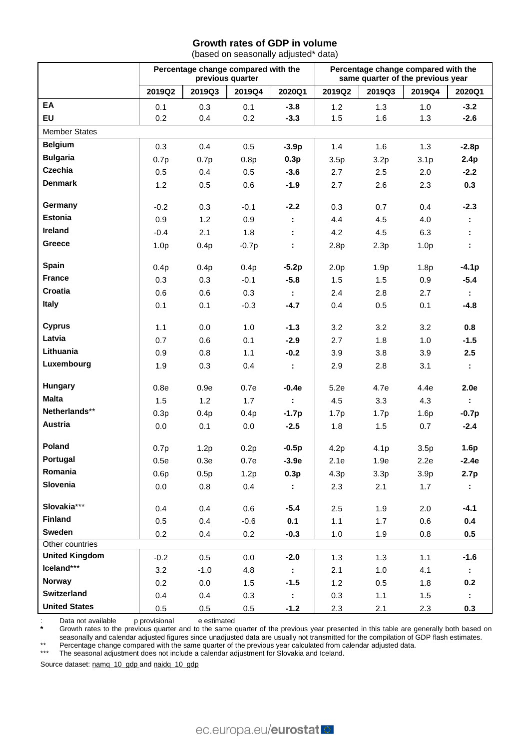## **Growth rates of GDP in volume**

(based on seasonally adjusted\* data)

|                       | Percentage change compared with the<br>previous quarter |         |         | Percentage change compared with the<br>same quarter of the previous year |                  |                  |                  |                             |
|-----------------------|---------------------------------------------------------|---------|---------|--------------------------------------------------------------------------|------------------|------------------|------------------|-----------------------------|
|                       | 2019Q2                                                  | 2019Q3  | 2019Q4  | 2020Q1                                                                   | 2019Q2           | 2019Q3           | 2019Q4           | 2020Q1                      |
| EA                    | 0.1                                                     | 0.3     | 0.1     | $-3.8$                                                                   | 1.2              | 1.3              | 1.0              | $-3.2$                      |
| EU                    | 0.2                                                     | 0.4     | 0.2     | $-3.3$                                                                   | 1.5              | 1.6              | 1.3              | $-2.6$                      |
| <b>Member States</b>  |                                                         |         |         |                                                                          |                  |                  |                  |                             |
| <b>Belgium</b>        | 0.3                                                     | 0.4     | 0.5     | $-3.9p$                                                                  | 1.4              | 1.6              | 1.3              | $-2.8p$                     |
| <b>Bulgaria</b>       | 0.7p                                                    | 0.7p    | 0.8p    | 0.3p                                                                     | 3.5p             | 3.2p             | 3.1 <sub>p</sub> | 2.4p                        |
| <b>Czechia</b>        | 0.5                                                     | 0.4     | 0.5     | $-3.6$                                                                   | 2.7              | 2.5              | 2.0              | $-2.2$                      |
| <b>Denmark</b>        | 1.2                                                     | 0.5     | 0.6     | $-1.9$                                                                   | 2.7              | 2.6              | 2.3              | 0.3                         |
| Germany               | $-0.2$                                                  | 0.3     | $-0.1$  | $-2.2$                                                                   | 0.3              | 0.7              | 0.4              | $-2.3$                      |
| <b>Estonia</b>        | 0.9                                                     | 1.2     | 0.9     | ÷                                                                        | 4.4              | 4.5              | 4.0              | ÷.                          |
| Ireland               | $-0.4$                                                  | 2.1     | 1.8     |                                                                          | 4.2              | 4.5              | 6.3              |                             |
| Greece                | 1.0 <sub>p</sub>                                        | 0.4p    | $-0.7p$ | ÷.                                                                       | 2.8p             | 2.3p             | 1.0 <sub>p</sub> | ÷.                          |
| Spain                 | 0.4p                                                    | 0.4p    | 0.4p    | $-5.2p$                                                                  | 2.0 <sub>p</sub> | 1.9 <sub>p</sub> | 1.8p             | $-4.1p$                     |
| <b>France</b>         | 0.3                                                     | 0.3     | $-0.1$  | $-5.8$                                                                   | 1.5              | 1.5              | 0.9              | $-5.4$                      |
| Croatia               | 0.6                                                     | 0.6     | 0.3     | ÷                                                                        | 2.4              | 2.8              | 2.7              | ÷.                          |
| <b>Italy</b>          | 0.1                                                     | 0.1     | $-0.3$  | $-4.7$                                                                   | 0.4              | 0.5              | 0.1              | $-4.8$                      |
| <b>Cyprus</b>         | 1.1                                                     | 0.0     | 1.0     | $-1.3$                                                                   | 3.2              | 3.2              | 3.2              | 0.8                         |
| Latvia                | 0.7                                                     | 0.6     | 0.1     | $-2.9$                                                                   | 2.7              | 1.8              | 1.0              | $-1.5$                      |
| Lithuania             | 0.9                                                     | 0.8     | 1.1     | $-0.2$                                                                   | 3.9              | 3.8              | 3.9              | 2.5                         |
| Luxembourg            | 1.9                                                     | 0.3     | 0.4     | $\mathcal{I}^{\mathcal{I}}$                                              | 2.9              | 2.8              | 3.1              | ÷.                          |
| Hungary               | 0.8e                                                    | 0.9e    | 0.7e    | $-0.4e$                                                                  | 5.2e             | 4.7e             | 4.4e             | 2.0e                        |
| <b>Malta</b>          | 1.5                                                     | 1.2     | 1.7     | $\mathcal{L}$                                                            | 4.5              | 3.3              | 4.3              | $\mathcal{L}_{\mathcal{A}}$ |
| Netherlands**         | 0.3p                                                    | 0.4p    | 0.4p    | $-1.7p$                                                                  | 1.7p             | 1.7p             | 1.6p             | $-0.7p$                     |
| Austria               | 0.0                                                     | 0.1     | 0.0     | $-2.5$                                                                   | 1.8              | 1.5              | 0.7              | $-2.4$                      |
| Poland                | 0.7p                                                    | 1.2p    | 0.2p    | $-0.5p$                                                                  | 4.2p             | 4.1 <sub>p</sub> | 3.5p             | 1.6p                        |
| Portugal              | 0.5e                                                    | 0.3e    | 0.7e    | $-3.9e$                                                                  | 2.1e             | 1.9e             | 2.2e             | $-2.4e$                     |
| Romania               | 0.6p                                                    | 0.5p    | 1.2p    | 0.3p                                                                     | 4.3p             | 3.3p             | 3.9 <sub>p</sub> | 2.7p                        |
| Slovenia              | 0.0                                                     | $0.8\,$ | 0.4     | ÷                                                                        | 2.3              | 2.1              | 1.7              | ÷.                          |
| Slovakia***           | 0.4                                                     | 0.4     | 0.6     | $-5.4$                                                                   | 2.5              | 1.9              | 2.0              | $-4.1$                      |
| <b>Finland</b>        | 0.5                                                     | 0.4     | $-0.6$  | 0.1                                                                      | 1.1              | 1.7              | 0.6              | 0.4                         |
| <b>Sweden</b>         | 0.2                                                     | 0.4     | 0.2     | $-0.3$                                                                   | 1.0              | 1.9              | 0.8              | 0.5                         |
| Other countries       |                                                         |         |         |                                                                          |                  |                  |                  |                             |
| <b>United Kingdom</b> | $-0.2$                                                  | 0.5     | 0.0     | $-2.0$                                                                   | 1.3              | 1.3              | 1.1              | $-1.6$                      |
| Iceland***            | 3.2                                                     | $-1.0$  | 4.8     | $\ddot{\phantom{a}}$                                                     | 2.1              | $1.0$            | 4.1              | $\mathbb{Z}^n$              |
| <b>Norway</b>         | 0.2                                                     | 0.0     | 1.5     | $-1.5$                                                                   | 1.2              | 0.5              | 1.8              | 0.2                         |
| <b>Switzerland</b>    | 0.4                                                     | 0.4     | 0.3     | ÷                                                                        | 0.3              | 1.1              | 1.5              | ÷.                          |
| <b>United States</b>  | 0.5                                                     | 0.5     | 0.5     | $-1.2$                                                                   | 2.3              | 2.1              | 2.3              | 0.3                         |

: Data not available p provisional e estimated<br>\* Growth rates to the previous quarter and to the same

**\*** Growth rates to the previous quarter and to the same quarter of the previous year presented in this table are generally both based on seasonally and calendar adjusted figures since unadjusted data are usually not transmitted for the compilation of GDP flash estimates. \*\* Percentage change compared with the same quarter of the previous year calculated from calendar adjusted data.

\*\*\* The seasonal adjustment does not include a calendar adjustment for Slovakia and Iceland.

Source dataset: [namq\\_10\\_gdp](https://appsso.eurostat.ec.europa.eu/nui/show.do?query=BOOKMARK_DS-406779_QID_-7909C6E9_UID_-3F171EB0&layout=TIME,C,X,0;GEO,L,Y,0;UNIT,L,Z,0;S_ADJ,L,Z,1;NA_ITEM,L,Z,2;INDICATORS,C,Z,3;&zSelection=DS-406779INDICATORS,OBS_FLAG;DS-406779UNIT,CP_MEUR;DS-406779S_ADJ,SCA;DS-406779NA_ITEM,B1GQ;&rankName1=UNIT_1_2_-1_2&rankName2=INDICATORS_1_2_-1_2&rankName3=NA-ITEM_1_2_-1_2&rankName4=S-ADJ_1_2_-1_2&rankName5=TIME_1_0_0_0&rankName6=GEO_1_2_0_1&sortC=ASC_-1_FIRST&rStp=&cStp=&rDCh=&cDCh=&rDM=true&cDM=true&footnes=false&empty=false&wai=false&time_mode=ROLLING&time_most_recent=true&lang=EN&cfo=%23%23%23%2C%23%23%23.%23%23%23)\_an[d naidq\\_10\\_gdp](https://appsso.eurostat.ec.europa.eu/nui/show.do?query=BOOKMARK_DS-535295_QID_2334A7C3_UID_-3F171EB0&layout=TIME,C,X,0;GEO,L,Y,0;S_ADJ,L,Z,0;UNIT,L,Z,1;NA_ITEM,L,Z,2;INDICATORS,C,Z,3;&zSelection=DS-535295INDICATORS,OBS_FLAG;DS-535295NA_ITEM,B1GQ;DS-535295UNIT,CP_MNAC;DS-535295S_ADJ,SCA;&rankName1=UNIT_1_2_-1_2&rankName2=INDICATORS_1_2_-1_2&rankName3=NA-ITEM_1_2_-1_2&rankName4=S-ADJ_1_2_-1_2&rankName5=TIME_1_0_0_0&rankName6=GEO_1_2_0_1&sortC=ASC_-1_FIRST&rStp=&cStp=&rDCh=&cDCh=&rDM=true&cDM=true&footnes=false&empty=false&wai=false&time_mode=ROLLING&time_most_recent=true&lang=EN&cfo=%23%23%23%2C%23%23%23.%23%23%23)